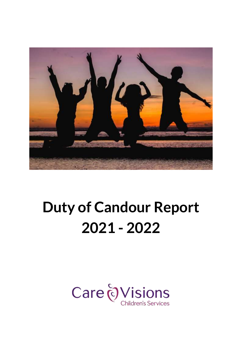

# **Duty of Candour Report 2021 - 2022**

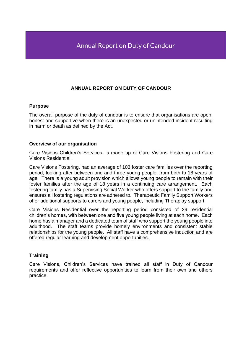# **ANNUAL REPORT ON DUTY OF CANDOUR**

## **Purpose**

The overall purpose of the duty of candour is to ensure that organisations are open, honest and supportive when there is an unexpected or unintended incident resulting in harm or death as defined by the Act.

# **Overview of our organisation**

Care Visions Children's Services, is made up of Care Visions Fostering and Care Visions Residential.

Care Visions Fostering, had an average of 103 foster care families over the reporting period, looking after between one and three young people, from birth to 18 years of age. There is a young adult provision which allows young people to remain with their foster families after the age of 18 years in a continuing care arrangement. Each fostering family has a Supervising Social Worker who offers support to the family and ensures all fostering regulations are adhered to. Therapeutic Family Support Workers offer additional supports to carers and young people, including Theraplay support.

Care Visions Residential over the reporting period consisted of 29 residential children's homes, with between one and five young people living at each home. Each home has a manager and a dedicated team of staff who support the young people into adulthood. The staff teams provide homely environments and consistent stable relationships for the young people. All staff have a comprehensive induction and are offered regular learning and development opportunities.

# **Training**

Care Visions, Children's Services have trained all staff in Duty of Candour requirements and offer reflective opportunities to learn from their own and others practice.